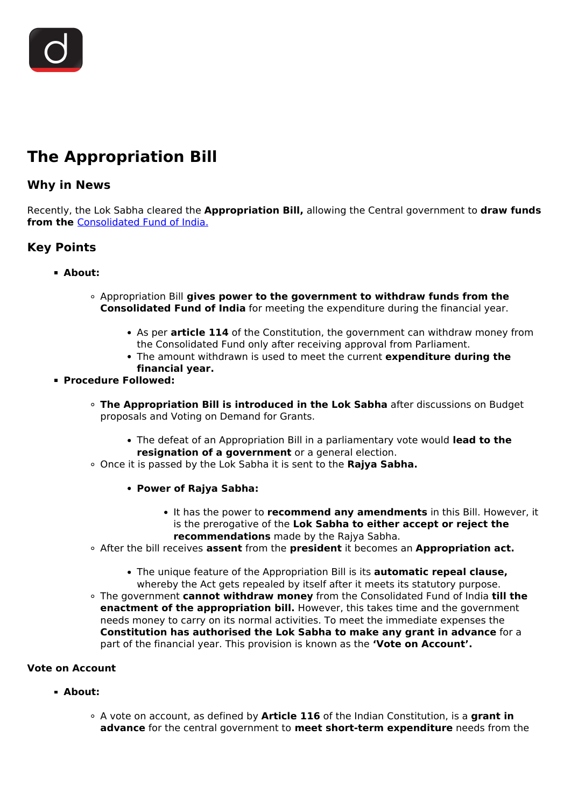

# **The Appropriation Bill**

## **Why in News**

Recently, the Lok Sabha cleared the **Appropriation Bill,** allowing the Central government to **draw funds from the** [Consolidated Fund of India.](/daily-updates/daily-news-analysis/non-utilisation-of-cesses-levies#:~:text=States%20as%20devolution.-,Consolidated%20Fund%20of%20India,and%20all%20non%2Dtax%20revenues.)

## **Key Points**

- **About:**
	- Appropriation Bill **gives power to the government to withdraw funds from the Consolidated Fund of India** for meeting the expenditure during the financial year.
		- As per **article 114** of the Constitution, the government can withdraw money from the Consolidated Fund only after receiving approval from Parliament.
		- The amount withdrawn is used to meet the current **expenditure during the financial year.**
- **Procedure Followed:**
	- **The Appropriation Bill is introduced in the Lok Sabha** after discussions on Budget proposals and Voting on Demand for Grants.
		- The defeat of an Appropriation Bill in a parliamentary vote would **lead to the resignation of a government** or a general election.
	- Once it is passed by the Lok Sabha it is sent to the **Rajya Sabha.**
		- **Power of Rajya Sabha:**
			- It has the power to **recommend any amendments** in this Bill. However, it is the prerogative of the **Lok Sabha to either accept or reject the recommendations** made by the Rajya Sabha.
	- After the bill receives **assent** from the **president** it becomes an **Appropriation act.**
		- The unique feature of the Appropriation Bill is its **automatic repeal clause,** whereby the Act gets repealed by itself after it meets its statutory purpose.
	- The government **cannot withdraw money** from the Consolidated Fund of India **till the enactment of the appropriation bill.** However, this takes time and the government needs money to carry on its normal activities. To meet the immediate expenses the **Constitution has authorised the Lok Sabha to make any grant in advance** for a part of the financial year. This provision is known as the **'Vote on Account'.**

### **Vote on Account**

- **About:**
	- A vote on account, as defined by **Article 116** of the Indian Constitution, is a **grant in advance** for the central government to **meet short-term expenditure** needs from the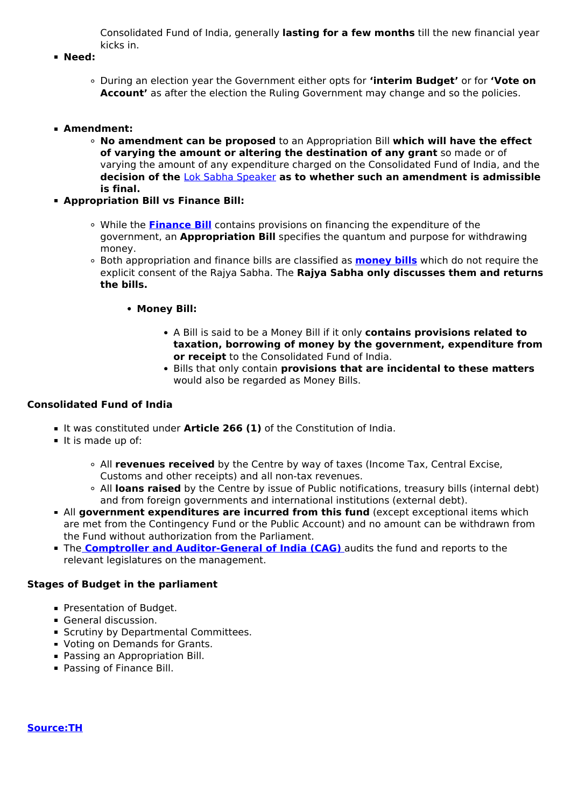Consolidated Fund of India, generally **lasting for a few months** till the new financial year kicks in.

- **Need:**
	- During an election year the Government either opts for **'interim Budget'** or for **'Vote on Account'** as after the election the Ruling Government may change and so the policies.
- **Amendment:**
	- **No amendment can be proposed** to an Appropriation Bill **which will have the effect of varying the amount or altering the destination of any grant** so made or of varying the amount of any expenditure charged on the Consolidated Fund of India, and the **decision of the** [Lok Sabha Speaker](/loksabha-rajyasabha-discussions/in-depth-speaker-roles-and-responsibility) **as to whether such an amendment is admissible is final.**
- **Appropriation Bill vs Finance Bill:**
	- While the **[Finance Bill](/daily-updates/daily-news-analysis/finance-bill-2020-passed)** contains provisions on financing the expenditure of the government, an **Appropriation Bill** specifies the quantum and purpose for withdrawing money.
	- Both appropriation and finance bills are classified as **[money bills](/loksabha-rajyasabha-discussions/in-depth-speaker-roles-and-responsibility)** which do not require the explicit consent of the Rajya Sabha. The **Rajya Sabha only discusses them and returns the bills.**
		- **Money Bill:**
			- A Bill is said to be a Money Bill if it only **contains provisions related to taxation, borrowing of money by the government, expenditure from or receipt** to the Consolidated Fund of India.
			- Bills that only contain **provisions that are incidental to these matters** would also be regarded as Money Bills.

#### **Consolidated Fund of India**

- It was constituted under **Article 266 (1)** of the Constitution of India.
- It is made up of:
	- All **revenues received** by the Centre by way of taxes (Income Tax, Central Excise, Customs and other receipts) and all non-tax revenues.
	- All **loans raised** by the Centre by issue of Public notifications, treasury bills (internal debt) and from foreign governments and international institutions (external debt).
- All **government expenditures are incurred from this fund** (except exceptional items which are met from the Contingency Fund or the Public Account) and no amount can be withdrawn from the Fund without authorization from the Parliament.
- **The [Comptroller and Auditor-General of India \(CAG\)](/important-institutions/drishti-specials-important-institutions-national-institutions/comptroller-and-auditor-general-of-india-cag)** audits the fund and reports to the relevant legislatures on the management.

#### **Stages of Budget in the parliament**

- **Presentation of Budget.**
- General discussion.
- **Scrutiny by Departmental Committees.**
- **Voting on Demands for Grants.**
- Passing an Appropriation Bill.
- **Passing of Finance Bill.**

**[Source:TH](https://www.thehindu.com/news/national/parliament-proceedings-lok-sabha-passes-appropriation-bill/article34095590.ece)**